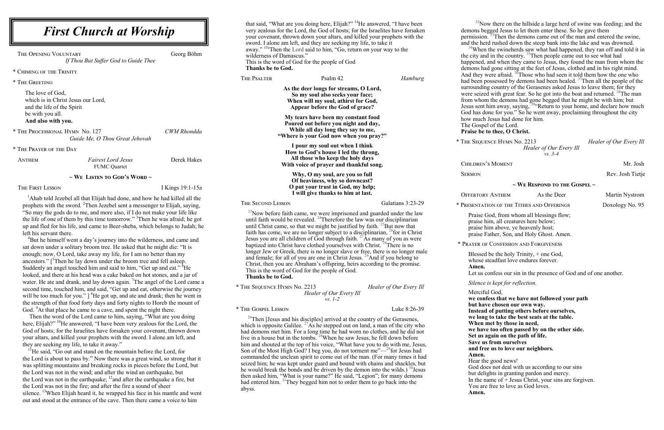that said, "What are you doing here, Elijah?" <sup>14</sup>He answered, "I have been very zealous for the Lord, the God of hosts; for the Israelites have forsaken your covenant, thrown down your altars, and killed your prophets with the sword. I alone am left, and they are seeking my life, to take it away." <sup>15a</sup>Then the Lord said to him, "Go, return on your way to the wilderness of Damascus." This is the word of God for the people of God

**Thanks be to God.**

| THE PSALTER              | Psalm 42                                                                                                                                                                                                                                                                                                                                                                                                                                                                                                                                                                                                             |  | <b>Hamburg</b>    |
|--------------------------|----------------------------------------------------------------------------------------------------------------------------------------------------------------------------------------------------------------------------------------------------------------------------------------------------------------------------------------------------------------------------------------------------------------------------------------------------------------------------------------------------------------------------------------------------------------------------------------------------------------------|--|-------------------|
|                          | As the deer longs for streams, O Lord,<br>So my soul also seeks your face;<br>When will my soul, athirst for God,<br>Appear before the God of grace?                                                                                                                                                                                                                                                                                                                                                                                                                                                                 |  |                   |
|                          | My tears have been my constant food<br>Poured out before you night and day,<br>While all day long they say to me,<br>"Where is your God now when you pray?"                                                                                                                                                                                                                                                                                                                                                                                                                                                          |  |                   |
|                          | I pour my soul out when I think<br>How to God's house I led the throng,<br>All those who keep the holy days<br>With voice of prayer and thankful song.                                                                                                                                                                                                                                                                                                                                                                                                                                                               |  |                   |
|                          | Why, O my soul, are you so full<br>Of heaviness, why so downcast?<br>O put your trust in God, my help;<br>I will give thanks to him at last.                                                                                                                                                                                                                                                                                                                                                                                                                                                                         |  |                   |
| <b>THE SECOND LESSON</b> |                                                                                                                                                                                                                                                                                                                                                                                                                                                                                                                                                                                                                      |  | Galatians 3:23-29 |
|                          | <sup>23</sup> Now before faith came, we were imprisoned and guarded under the law<br>until faith would be revealed. $^{24}$ Therefore the law was our disciplinarian<br>until Christ came, so that we might be justified by faith. $^{25}$ But now that<br>faith has come, we are no longer subject to a disciplinarian, <sup>26</sup> for in Christ<br>Jesus you are all children of God through faith. <sup>27</sup> As many of you as were<br>baptized into Christ have clothed yourselves with Christ. <sup>28</sup> There is no<br>longer lew or Greek there is no longer slave or free there is no longer male |  |                   |

Jesus you are all children of God through faith.  $^{27}$ As many of you as were baptized into Christ have clothed yourselves with Christ.<sup>28</sup>There is no longer Jew or Greek, there is no longer slave or free, there is no longer male and female; for all of you are one in Christ Jesus. <sup>29</sup>And if you belong to Christ, then you are Abraham's offspring, heirs according to the promise. This is the word of God for the people of God. **Thanks be to God.**

 $^{26}$ Then [Jesus and his disciples] arrived at the country of the Gerasenes, which is opposite Galilee. <sup>27</sup>As he stepped out on land, a man of the city who had demons met him. For a long time he had worn no clothes, and he did not live in a house but in the tombs.  $28$ When he saw Jesus, he fell down before him and shouted at the top of his voice, "What have you to do with me, Jesus, Son of the Most High God? I beg you, do not torment me" $-$ <sup>29</sup>for Jesus had commanded the unclean spirit to come out of the man. (For many times it had seized him; he was kept under guard and bound with chains and shackles, but he would break the bonds and be driven by the demon into the wilds.)  $^{30}$ Jesus then asked him, "What is your name?" He said, "Legion"; for many demons had entered him. <sup>31</sup>They begged him not to order them to go back into the abyss.

\* The Sequence Hymn No. 2213 *Healer of Our Every Ill Healer of Our Every Ill vs. 1-2*

\* The Gospel Lesson Luke 8:26-39

 $32$ Now there on the hillside a large herd of swine was feeding; and the demons begged Jesus to let them enter these. So he gave them permission. <sup>33</sup>Then the demons came out of the man and entered the swine, and the herd rushed down the steep bank into the lake and was drowned. <sup>34</sup>When the swineherds saw what had happened, they ran off and told it in the city and in the country.  $35$ Then people came out to see what had happened, and when they came to Jesus, they found the man from whom the demons had gone sitting at the feet of Jesus, clothed and in his right mind. And they were afraid.  $36$ Those who had seen it told them how the one who had been possessed by demons had been healed.<sup>37</sup>Then all the people of the surrounding country of the Gerasenes asked Jesus to leave them; for they were seized with great fear. So he got into the boat and returned. <sup>38</sup>The man from whom the demons had gone begged that he might be with him; but Jesus sent him away, saying, <sup>39"</sup>Return to your home, and declare how much God has done for you." So he went away, proclaiming throughout the city how much Jesus had done for him.

Blessed be the holy Trinity, + one God, whose steadfast love endures forever.

THE OPENING VOLUNTARY Georg Böhm *If Thou But Suffer God to Guide Thee*

<sup>1</sup>Ahab told Jezebel all that Elijah had done, and how he had killed all the prophets with the sword. <sup>2</sup>Then Jezebel sent a messenger to Elijah, saying, "So may the gods do to me, and more also, if I do not make your life like the life of one of them by this time tomorrow." <sup>3</sup>Then he was afraid; he got up and fled for his life, and came to Beer-sheba, which belongs to Judah; he left his servant there.

<sup>4</sup>But he himself went a day's journey into the wilderness, and came and sat down under a solitary broom tree. He asked that he might die: "It is enough; now, O Lord, take away my life, for I am no better than my ancestors." [<sup>5</sup>Then he lay down under the broom tree and fell asleep. Suddenly an angel touched him and said to him, "Get up and eat." <sup>6</sup>He looked, and there at his head was a cake baked on hot stones, and a jar of water. He ate and drank, and lay down again. <sup>7</sup>The angel of the Lord came a second time, touched him, and said, "Get up and eat, otherwise the journey will be too much for you."  $\int$ <sup>8</sup>He got up, and ate and drank; then he went in the strength of that food forty days and forty nights to Horeb the mount of God. <sup>9</sup>At that place he came to a cave, and spent the night there.

<sup>11</sup>He said, "Go out and stand on the mountain before the Lord, for the Lord is about to pass by." Now there was a great wind, so strong that it was splitting mountains and breaking rocks in pieces before the Lord, but the Lord was not in the wind; and after the wind an earthquake, but the Lord was not in the earthquake;  $^{12}$  and after the earthquake a fire, but the Lord was not in the fire; and after the fire a sound of sheer silence.  $13$ When Elijah heard it, he wrapped his face in his mantle and went out and stood at the entrance of the cave. Then there came a voice to him

The Gospel of the Lord.

### **Praise be to thee, O Christ.**

\* The Sequence Hymn No. 2213 *Healer of Our Every Ill Healer of Our Every Ill vs. 3-4*

CHILDREN'S MOMENT Mr. Josh SERMON Rev. Josh Tietje

#### **~ We Respond to the Gospel ~**

\* Presentation of the Tithes and Offerings Doxology No. 95

Praise God, from whom all blessings flow; praise him, all creatures here below; praise him above, ye heavenly host; praise Father, Son, and Holy Ghost. Amen.

\* Prayer of Confession and Forgiveness

**Amen.**

Let us confess our sin in the presence of God and of one another.

*Silence is kept for reflection.*

**we confess that we have not followed your path but have chosen our own way. Instead of putting others before ourselves, we long to take the best seats at the table. When met by those in need, we have too often passed by on the other side. Set us again on the path of life. Save us from ourselves and free us to love our neighbors.**

Merciful God, **Amen. Amen.**

Hear the good news! God does not deal with us according to our sins but delights in granting pardon and mercy. In the name of  $+$  Jesus Christ, your sins are forgiven. You are free to love as God loves.

OFFERTORY ANTHEM As the Deer Martin Nystrom

\* Chiming of the Trinity

\* The Greeting

The love of God, which is in Christ Jesus our Lord, and the life of the Spirit be with you all. **And also with you.**

\* The Processional Hymn No. 127 *CWM Rhondda Guide Me, O Thou Great Jehovah*

\* The Prayer of the Day

Anthem *Fairest Lord Jesus* Derek Hakes FUMC Quartet

#### **~ We Listen to God's Word ~**

THE FIRST LESSON I Kings 19:1-15a

Then the word of the Lord came to him, saying, "What are you doing here, Elijah?" <sup>10</sup>He answered, "I have been very zealous for the Lord, the God of hosts; for the Israelites have forsaken your covenant, thrown down your altars, and killed your prophets with the sword. I alone am left, and they are seeking my life, to take it away."

## *First Church at Worship*